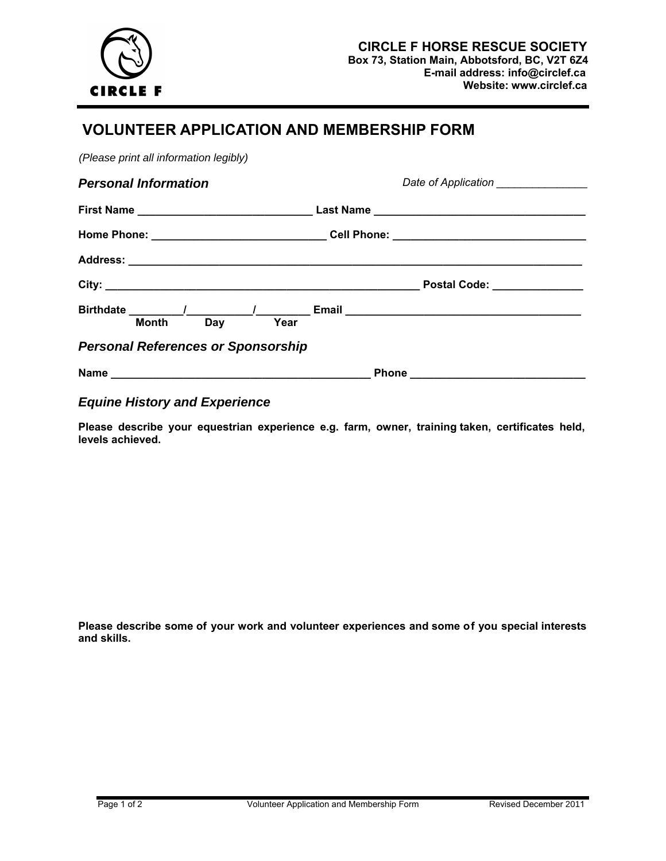

## **VOLUNTEER APPLICATION AND MEMBERSHIP FORM**

*(Please print all information legibly)* 

| <b>Personal Information</b>               | Date of Application _______________ |  |  |
|-------------------------------------------|-------------------------------------|--|--|
|                                           |                                     |  |  |
|                                           |                                     |  |  |
|                                           |                                     |  |  |
|                                           |                                     |  |  |
| Day<br><b>Month</b>                       | Year                                |  |  |
| <b>Personal References or Sponsorship</b> |                                     |  |  |
|                                           |                                     |  |  |

## *Equine History and Experience*

**Please describe your equestrian experience e.g. farm, owner, training taken, certificates held, levels achieved.** 

**Please describe some of your work and volunteer experiences and some of you special interests and skills.**